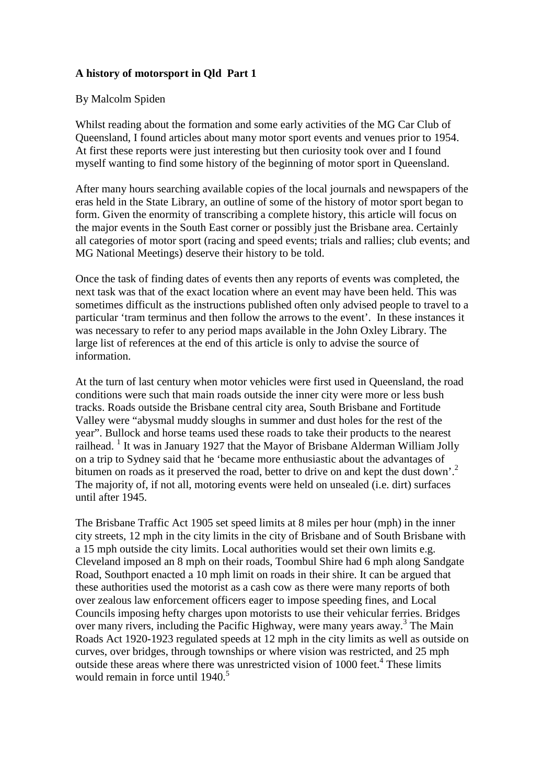## **A history of motorsport in Qld Part 1**

## By Malcolm Spiden

Whilst reading about the formation and some early activities of the MG Car Club of Queensland, I found articles about many motor sport events and venues prior to 1954. At first these reports were just interesting but then curiosity took over and I found myself wanting to find some history of the beginning of motor sport in Queensland.

After many hours searching available copies of the local journals and newspapers of the eras held in the State Library, an outline of some of the history of motor sport began to form. Given the enormity of transcribing a complete history, this article will focus on the major events in the South East corner or possibly just the Brisbane area. Certainly all categories of motor sport (racing and speed events; trials and rallies; club events; and MG National Meetings) deserve their history to be told.

Once the task of finding dates of events then any reports of events was completed, the next task was that of the exact location where an event may have been held. This was sometimes difficult as the instructions published often only advised people to travel to a particular 'tram terminus and then follow the arrows to the event'. In these instances it was necessary to refer to any period maps available in the John Oxley Library. The large list of references at the end of this article is only to advise the source of information.

At the turn of last century when motor vehicles were first used in Queensland, the road conditions were such that main roads outside the inner city were more or less bush tracks. Roads outside the Brisbane central city area, South Brisbane and Fortitude Valley were "abysmal muddy sloughs in summer and dust holes for the rest of the year". Bullock and horse teams used these roads to take their products to the nearest <sup>2</sup> railhead. <sup>1</sup> It was in January 1927 that the Mayor of Brisbane Alderman William Jolly on a trip to Sydney said that he 'became more enthusiastic about the advantages of bitumen on roads as it preserved the road, better to drive on and kept the dust down'.<sup>2</sup> The majority of, if not all, motoring events were held on unsealed (i.e. dirt) surfaces until after 1945.

The Brisbane Traffic Act 1905 set speed limits at 8 miles per hour (mph) in the inner city streets, 12 mph in the city limits in the city of Brisbane and of South Brisbane with a 15 mph outside the city limits. Local authorities would set their own limits e.g. Cleveland imposed an 8 mph on their roads, Toombul Shire had 6 mph along Sandgate Road, Southport enacted a 10 mph limit on roads in their shire. It can be argued that these authorities used the motorist as a cash cow as there were many reports of both over zealous law enforcement officers eager to impose speeding fines, and Local Councils imposing hefty charges upon motorists to use their vehicular ferries. Bridges over many rivers, including the Pacific Highway, were many years away.<sup>3</sup> The Main Roads Act 1920-1923 regulated speeds at 12 mph in the city limits as well as outside on curves, over bridges, through townships or where vision was restricted, and 25 mph outside these areas where there was unrestricted vision of 1000 feet.<sup>4</sup> These limits would remain in force until  $1940<sup>5</sup>$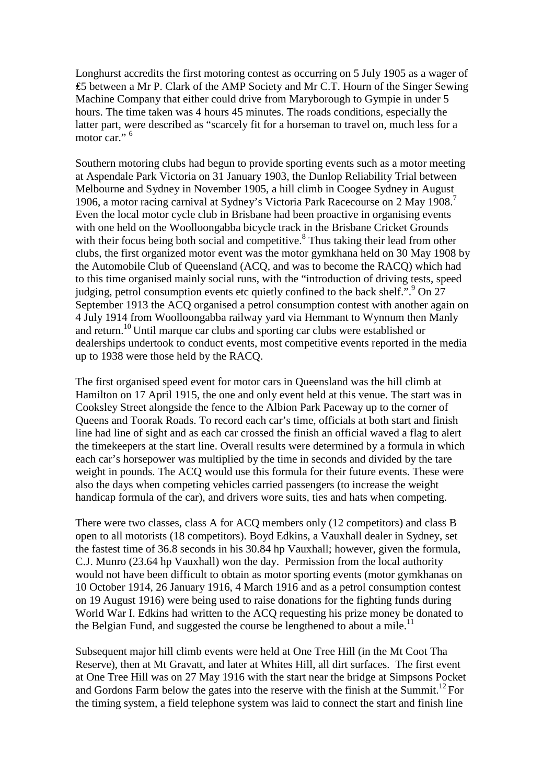Longhurst accredits the first motoring contest as occurring on 5 July 1905 as a wager of ₤5 between a Mr P. Clark of the AMP Society and Mr C.T. Hourn of the Singer Sewing Machine Company that either could drive from Maryborough to Gympie in under 5 hours. The time taken was 4 hours 45 minutes. The roads conditions, especially the latter part, were described as "scarcely fit for a horseman to travel on, much less for a motor car."<sup>6</sup>

Southern motoring clubs had begun to provide sporting events such as a motor meeting at Aspendale Park Victoria on 31 January 1903, the Dunlop Reliability Trial between Melbourne and Sydney in November 1905, a hill climb in Coogee Sydney in August 1906, a motor racing carnival at Sydney's Victoria Park Racecourse on 2 May 1908.<sup>7</sup> Even the local motor cycle club in Brisbane had been proactive in organising events with one held on the Woolloongabba bicycle track in the Brisbane Cricket Grounds with their focus being both social and competitive.<sup>8</sup> Thus taking their lead from other clubs, the first organized motor event was the motor gymkhana held on 30 May 1908 by the Automobile Club of Queensland (ACQ, and was to become the RACQ) which had to this time organised mainly social runs, with the "introduction of driving tests, speed judging, petrol consumption events etc quietly confined to the back shelf.".<sup>9</sup> On 27 September 1913 the ACQ organised a petrol consumption contest with another again on 4 July 1914 from Woolloongabba railway yard via Hemmant to Wynnum then Manly and return.<sup>10</sup> Until marque car clubs and sporting car clubs were established or dealerships undertook to conduct events, most competitive events reported in the media up to 1938 were those held by the RACQ.

The first organised speed event for motor cars in Queensland was the hill climb at Hamilton on 17 April 1915, the one and only event held at this venue. The start was in Cooksley Street alongside the fence to the Albion Park Paceway up to the corner of Queens and Toorak Roads. To record each car's time, officials at both start and finish line had line of sight and as each car crossed the finish an official waved a flag to alert the timekeepers at the start line. Overall results were determined by a formula in which each car's horsepower was multiplied by the time in seconds and divided by the tare weight in pounds. The ACQ would use this formula for their future events. These were also the days when competing vehicles carried passengers (to increase the weight handicap formula of the car), and drivers wore suits, ties and hats when competing.

There were two classes, class A for ACQ members only (12 competitors) and class B open to all motorists (18 competitors). Boyd Edkins, a Vauxhall dealer in Sydney, set the fastest time of 36.8 seconds in his 30.84 hp Vauxhall; however, given the formula, C.J. Munro (23.64 hp Vauxhall) won the day. Permission from the local authority would not have been difficult to obtain as motor sporting events (motor gymkhanas on 10 October 1914, 26 January 1916, 4 March 1916 and as a petrol consumption contest on 19 August 1916) were being used to raise donations for the fighting funds during World War I. Edkins had written to the ACQ requesting his prize money be donated to the Belgian Fund, and suggested the course be lengthened to about a mile.<sup>11</sup>

Subsequent major hill climb events were held at One Tree Hill (in the Mt Coot Tha Reserve), then at Mt Gravatt, and later at Whites Hill, all dirt surfaces. The first event at One Tree Hill was on 27 May 1916 with the start near the bridge at Simpsons Pocket and Gordons Farm below the gates into the reserve with the finish at the Summit.<sup>12</sup> For the timing system, a field telephone system was laid to connect the start and finish line